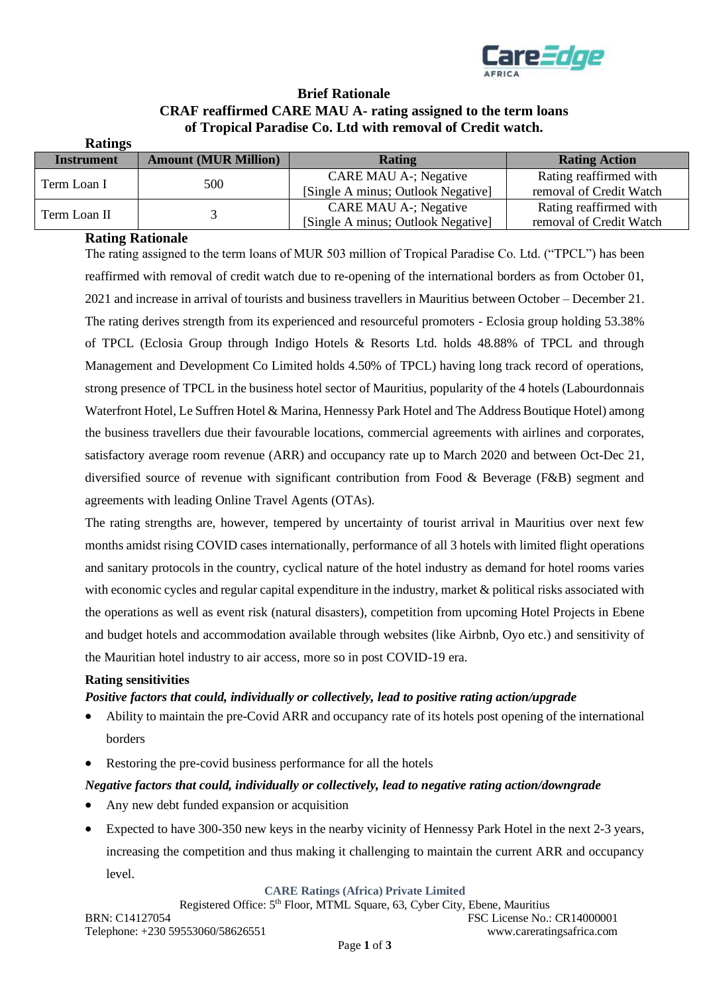

## **Brief Rationale CRAF reaffirmed CARE MAU A- rating assigned to the term loans of Tropical Paradise Co. Ltd with removal of Credit watch.**

| Ratings           |                             |                                                             |                                                   |
|-------------------|-----------------------------|-------------------------------------------------------------|---------------------------------------------------|
| <b>Instrument</b> | <b>Amount (MUR Million)</b> | Rating                                                      | <b>Rating Action</b>                              |
| Term Loan I       | 500                         | CARE MAU A-; Negative<br>[Single A minus; Outlook Negative] | Rating reaffirmed with<br>removal of Credit Watch |
|                   |                             |                                                             |                                                   |
| Term Loan II      |                             | CARE MAU A-; Negative<br>[Single A minus; Outlook Negative] | Rating reaffirmed with<br>removal of Credit Watch |

#### **Rating Rationale**

**Ratings**

The rating assigned to the term loans of MUR 503 million of Tropical Paradise Co. Ltd. ("TPCL") has been reaffirmed with removal of credit watch due to re-opening of the international borders as from October 01, 2021 and increase in arrival of tourists and business travellers in Mauritius between October – December 21. The rating derives strength from its experienced and resourceful promoters - Eclosia group holding 53.38% of TPCL (Eclosia Group through Indigo Hotels & Resorts Ltd. holds 48.88% of TPCL and through Management and Development Co Limited holds 4.50% of TPCL) having long track record of operations, strong presence of TPCL in the business hotel sector of Mauritius, popularity of the 4 hotels (Labourdonnais Waterfront Hotel, Le Suffren Hotel & Marina, Hennessy Park Hotel and The Address Boutique Hotel) among the business travellers due their favourable locations, commercial agreements with airlines and corporates, satisfactory average room revenue (ARR) and occupancy rate up to March 2020 and between Oct-Dec 21, diversified source of revenue with significant contribution from Food & Beverage (F&B) segment and agreements with leading Online Travel Agents (OTAs).

The rating strengths are, however, tempered by uncertainty of tourist arrival in Mauritius over next few months amidst rising COVID cases internationally, performance of all 3 hotels with limited flight operations and sanitary protocols in the country, cyclical nature of the hotel industry as demand for hotel rooms varies with economic cycles and regular capital expenditure in the industry, market & political risks associated with the operations as well as event risk (natural disasters), competition from upcoming Hotel Projects in Ebene and budget hotels and accommodation available through websites (like Airbnb, Oyo etc.) and sensitivity of the Mauritian hotel industry to air access, more so in post COVID-19 era.

#### **Rating sensitivities**

#### *Positive factors that could, individually or collectively, lead to positive rating action/upgrade*

- Ability to maintain the pre-Covid ARR and occupancy rate of its hotels post opening of the international borders
- Restoring the pre-covid business performance for all the hotels

#### *Negative factors that could, individually or collectively, lead to negative rating action/downgrade*

- Any new debt funded expansion or acquisition
- Expected to have 300-350 new keys in the nearby vicinity of Hennessy Park Hotel in the next 2-3 years, increasing the competition and thus making it challenging to maintain the current ARR and occupancy level.

**CARE Ratings (Africa) Private Limited**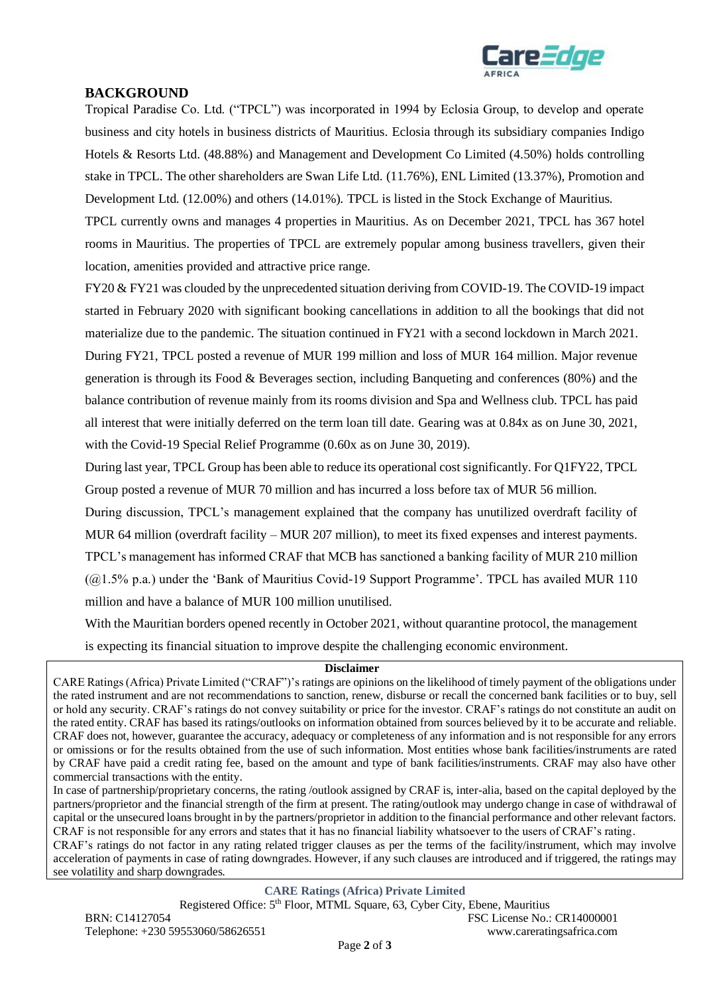

## **BACKGROUND**

Tropical Paradise Co. Ltd. ("TPCL") was incorporated in 1994 by Eclosia Group, to develop and operate business and city hotels in business districts of Mauritius. Eclosia through its subsidiary companies Indigo Hotels & Resorts Ltd. (48.88%) and Management and Development Co Limited (4.50%) holds controlling stake in TPCL. The other shareholders are Swan Life Ltd. (11.76%), ENL Limited (13.37%), Promotion and Development Ltd. (12.00%) and others (14.01%). TPCL is listed in the Stock Exchange of Mauritius.

TPCL currently owns and manages 4 properties in Mauritius. As on December 2021, TPCL has 367 hotel rooms in Mauritius. The properties of TPCL are extremely popular among business travellers, given their location, amenities provided and attractive price range.

FY20 & FY21 was clouded by the unprecedented situation deriving from COVID-19. The COVID-19 impact started in February 2020 with significant booking cancellations in addition to all the bookings that did not materialize due to the pandemic. The situation continued in FY21 with a second lockdown in March 2021.

During FY21, TPCL posted a revenue of MUR 199 million and loss of MUR 164 million. Major revenue generation is through its Food & Beverages section, including Banqueting and conferences (80%) and the balance contribution of revenue mainly from its rooms division and Spa and Wellness club. TPCL has paid all interest that were initially deferred on the term loan till date. Gearing was at 0.84x as on June 30, 2021, with the Covid-19 Special Relief Programme (0.60x as on June 30, 2019).

During last year, TPCL Group has been able to reduce its operational cost significantly. For Q1FY22, TPCL Group posted a revenue of MUR 70 million and has incurred a loss before tax of MUR 56 million.

During discussion, TPCL's management explained that the company has unutilized overdraft facility of MUR 64 million (overdraft facility – MUR 207 million), to meet its fixed expenses and interest payments. TPCL's management has informed CRAF that MCB has sanctioned a banking facility of MUR 210 million  $(Q<sub>1.5</sub>% p.a.)$  under the 'Bank of Mauritius Covid-19 Support Programme'. TPCL has availed MUR 110 million and have a balance of MUR 100 million unutilised.

With the Mauritian borders opened recently in October 2021, without quarantine protocol, the management is expecting its financial situation to improve despite the challenging economic environment.

#### **Disclaimer**

CARE Ratings (Africa) Private Limited ("CRAF")'s ratings are opinions on the likelihood of timely payment of the obligations under the rated instrument and are not recommendations to sanction, renew, disburse or recall the concerned bank facilities or to buy, sell or hold any security. CRAF's ratings do not convey suitability or price for the investor. CRAF's ratings do not constitute an audit on the rated entity. CRAF has based its ratings/outlooks on information obtained from sources believed by it to be accurate and reliable. CRAF does not, however, guarantee the accuracy, adequacy or completeness of any information and is not responsible for any errors or omissions or for the results obtained from the use of such information. Most entities whose bank facilities/instruments are rated by CRAF have paid a credit rating fee, based on the amount and type of bank facilities/instruments. CRAF may also have other commercial transactions with the entity.

In case of partnership/proprietary concerns, the rating /outlook assigned by CRAF is, inter-alia, based on the capital deployed by the partners/proprietor and the financial strength of the firm at present. The rating/outlook may undergo change in case of withdrawal of capital or the unsecured loans brought in by the partners/proprietor in addition to the financial performance and other relevant factors. CRAF is not responsible for any errors and states that it has no financial liability whatsoever to the users of CRAF's rating. CRAF's ratings do not factor in any rating related trigger clauses as per the terms of the facility/instrument, which may involve acceleration of payments in case of rating downgrades. However, if any such clauses are introduced and if triggered, the ratings may see volatility and sharp downgrades.

**CARE Ratings (Africa) Private Limited**